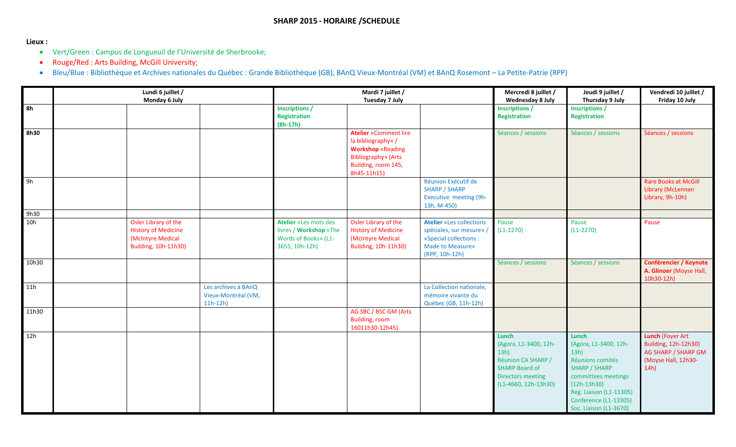## **Lieux :**

- Vert/Green : Campus de Longueuil de l'Université de Sherbrooke;
- Rouge/Red : Arts Building, McGill University;
- Bleu/Blue : Bibliothèque et Archives nationales du Québec : Grande Bibliothèque (GB), BAnQ Vieux-Montréal (VM) et BAnQ Rosemont La Petite-Patrie (RPP)

|       | Lundi 6 juillet /<br>Monday 6 July |                                                                                                 |                                                         | Mardi 7 juillet /<br>Tuesday 7 July                                                       |                                                                                                                                                    |                                                                                                                                   | Mercredi 8 juillet /<br>Wednesday 8 July                                                                                             | Jeudi 9 juillet /<br>Thursday 9 July                                                                                                                                                                     | Vendredi 10 juillet /<br>Friday 10 July                                                               |
|-------|------------------------------------|-------------------------------------------------------------------------------------------------|---------------------------------------------------------|-------------------------------------------------------------------------------------------|----------------------------------------------------------------------------------------------------------------------------------------------------|-----------------------------------------------------------------------------------------------------------------------------------|--------------------------------------------------------------------------------------------------------------------------------------|----------------------------------------------------------------------------------------------------------------------------------------------------------------------------------------------------------|-------------------------------------------------------------------------------------------------------|
| 8h    |                                    |                                                                                                 |                                                         | <b>Inscriptions /</b><br><b>Registration</b><br>$(8h-17h)$                                |                                                                                                                                                    |                                                                                                                                   | <b>Inscriptions /</b><br><b>Registration</b>                                                                                         | Inscriptions /<br>Registration                                                                                                                                                                           |                                                                                                       |
| 8h30  |                                    |                                                                                                 |                                                         |                                                                                           | <b>Atelier «Comment lire</b><br>la bibliography» /<br><b>Workshop «Reading</b><br><b>Bibliography»</b> (Arts<br>Building, room 145,<br>8h45-11h15) |                                                                                                                                   | Séances / sessions                                                                                                                   | Séances / sessions                                                                                                                                                                                       | Séances / sessions                                                                                    |
| 9h    |                                    |                                                                                                 |                                                         |                                                                                           |                                                                                                                                                    | Réunion Exécutif de<br><b>SHARP / SHARP</b><br><b>Executive meeting (9h-</b><br>13h, M-450)                                       |                                                                                                                                      |                                                                                                                                                                                                          | <b>Rare Books at McGill</b><br>Library (McLennan<br>Library, 9h-10h)                                  |
| 9h30  |                                    |                                                                                                 |                                                         |                                                                                           |                                                                                                                                                    |                                                                                                                                   |                                                                                                                                      |                                                                                                                                                                                                          |                                                                                                       |
| 10h   |                                    | Osler Library of the<br><b>History of Medicine</b><br>(McIntyre Medical<br>Building, 10h-11h30) |                                                         | Atelier «Les mots des<br>livres / Workshop «The<br>Words of Books» (L1-<br>3655, 10h-12h) | Osler Library of the<br><b>History of Medicine</b><br>(McIntyre Medical<br>Building, 10h-11h30)                                                    | <b>Atelier «Les collections</b><br>spéciales, sur mesure»,<br>«Special collections :<br><b>Made to Measure»</b><br>(RPP, 10h-12h) | Pause<br>$(L1-2270)$                                                                                                                 | Pause<br>$(L1-2270)$                                                                                                                                                                                     | Pause                                                                                                 |
| 10h30 |                                    |                                                                                                 |                                                         |                                                                                           |                                                                                                                                                    |                                                                                                                                   | Séances / sessions                                                                                                                   | Séances / sessions                                                                                                                                                                                       | <b>Conférencier / Keynote</b><br>A. Glinoer (Moyse Hall,<br>10h30-12h)                                |
| 11h   |                                    |                                                                                                 | Les archives à BAnQ<br>Vieux-Montréal (VM,<br>$11h-12h$ |                                                                                           |                                                                                                                                                    | La Collection nationale,<br>mémoire vivante du<br>Québec (GB, 11h-12h)                                                            |                                                                                                                                      |                                                                                                                                                                                                          |                                                                                                       |
| 11h30 |                                    |                                                                                                 |                                                         |                                                                                           | AG SBC / BSC GM (Arts<br><b>Building, room</b><br>16011h30-12h45)                                                                                  |                                                                                                                                   |                                                                                                                                      |                                                                                                                                                                                                          |                                                                                                       |
| 12h   |                                    |                                                                                                 |                                                         |                                                                                           |                                                                                                                                                    |                                                                                                                                   | Lunch<br>(Agora, L1-3400, 12h-<br>13h)<br>Réunion CA SHARP /<br><b>SHARP Board of</b><br>Directors meeting<br>$(L1-4660, 12h-13h30)$ | Lunch<br>(Agora, L1-3400, 12h-<br>13h)<br>Réunions comités<br><b>SHARP / SHARP</b><br>committees meetings<br>$(12h-13h30)$<br>Reg. Liaison (L1-11305)<br>Conference (L1-13305)<br>Soc. Liaison (L1-3670) | <b>Lunch (Foyer Art</b><br>Building, 12h-12h30)<br>AG SHARP / SHARP GM<br>(Moyse Hall, 12h30-<br>14h) |